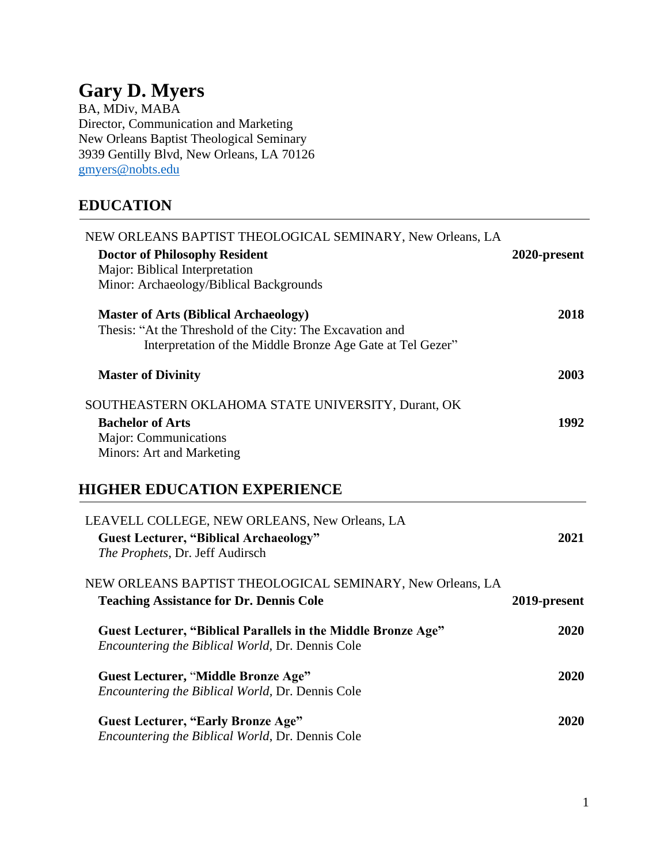## **Gary D. Myers**

BA, MDiv, MABA Director, Communication and Marketing New Orleans Baptist Theological Seminary 3939 Gentilly Blvd, New Orleans, LA 70126 [gmyers@nobts.edu](mailto:gmyers@nobts.edu)

## **EDUCATION**

| NEW ORLEANS BAPTIST THEOLOGICAL SEMINARY, New Orleans, LA<br><b>Doctor of Philosophy Resident</b><br>Major: Biblical Interpretation<br>Minor: Archaeology/Biblical Backgrounds | 2020-present |
|--------------------------------------------------------------------------------------------------------------------------------------------------------------------------------|--------------|
| <b>Master of Arts (Biblical Archaeology)</b><br>Thesis: "At the Threshold of the City: The Excavation and<br>Interpretation of the Middle Bronze Age Gate at Tel Gezer"        | 2018         |
| <b>Master of Divinity</b>                                                                                                                                                      | 2003         |
| SOUTHEASTERN OKLAHOMA STATE UNIVERSITY, Durant, OK<br><b>Bachelor of Arts</b><br>Major: Communications<br>Minors: Art and Marketing                                            | 1992         |
| <b>HIGHER EDUCATION EXPERIENCE</b>                                                                                                                                             |              |
| LEAVELL COLLEGE, NEW ORLEANS, New Orleans, LA<br><b>Guest Lecturer, "Biblical Archaeology"</b><br>The Prophets, Dr. Jeff Audirsch                                              | 2021         |
| NEW ORLEANS BAPTIST THEOLOGICAL SEMINARY, New Orleans, LA<br><b>Teaching Assistance for Dr. Dennis Cole</b>                                                                    | 2019-present |
| <b>Guest Lecturer, "Biblical Parallels in the Middle Bronze Age"</b><br>Encountering the Biblical World, Dr. Dennis Cole                                                       | 2020         |
| <b>Guest Lecturer, "Middle Bronze Age"</b><br>Encountering the Biblical World, Dr. Dennis Cole                                                                                 | 2020         |
| <b>Guest Lecturer, "Early Bronze Age"</b><br>Encountering the Biblical World, Dr. Dennis Cole                                                                                  | 2020         |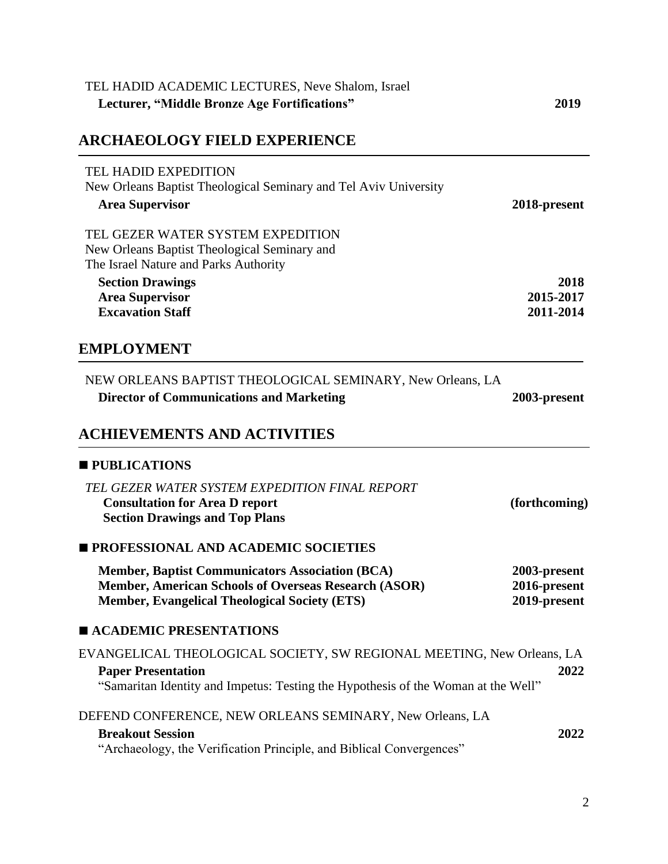| TEL HADID ACADEMIC LECTURES, Neve Shalom, Israel<br>Lecturer, "Middle Bronze Age Fortifications"                                                                                        | 2019                                         |
|-----------------------------------------------------------------------------------------------------------------------------------------------------------------------------------------|----------------------------------------------|
| <b>ARCHAEOLOGY FIELD EXPERIENCE</b>                                                                                                                                                     |                                              |
| <b>TEL HADID EXPEDITION</b><br>New Orleans Baptist Theological Seminary and Tel Aviv University<br><b>Area Supervisor</b>                                                               | 2018-present                                 |
| TEL GEZER WATER SYSTEM EXPEDITION<br>New Orleans Baptist Theological Seminary and<br>The Israel Nature and Parks Authority                                                              |                                              |
| <b>Section Drawings</b><br><b>Area Supervisor</b><br><b>Excavation Staff</b>                                                                                                            | 2018<br>2015-2017<br>2011-2014               |
| <b>EMPLOYMENT</b>                                                                                                                                                                       |                                              |
| NEW ORLEANS BAPTIST THEOLOGICAL SEMINARY, New Orleans, LA<br><b>Director of Communications and Marketing</b>                                                                            | 2003-present                                 |
| <b>ACHIEVEMENTS AND ACTIVITIES</b>                                                                                                                                                      |                                              |
| <b>PUBLICATIONS</b>                                                                                                                                                                     |                                              |
| TEL GEZER WATER SYSTEM EXPEDITION FINAL REPORT<br><b>Consultation for Area D report</b><br><b>Section Drawings and Top Plans</b>                                                        | (forthcoming)                                |
| <b>PROFESSIONAL AND ACADEMIC SOCIETIES</b>                                                                                                                                              |                                              |
| <b>Member, Baptist Communicators Association (BCA)</b><br><b>Member, American Schools of Overseas Research (ASOR)</b><br><b>Member, Evangelical Theological Society (ETS)</b>           | 2003-present<br>2016-present<br>2019-present |
| <b>E ACADEMIC PRESENTATIONS</b>                                                                                                                                                         |                                              |
| EVANGELICAL THEOLOGICAL SOCIETY, SW REGIONAL MEETING, New Orleans, LA<br><b>Paper Presentation</b><br>"Samaritan Identity and Impetus: Testing the Hypothesis of the Woman at the Well" | 2022                                         |
| DEFEND CONFERENCE, NEW ORLEANS SEMINARY, New Orleans, LA                                                                                                                                |                                              |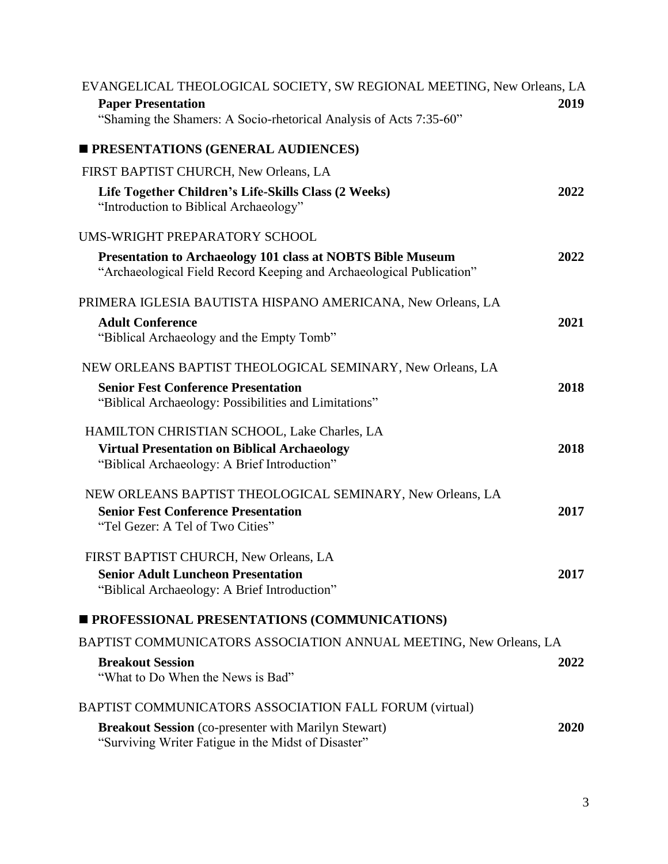| EVANGELICAL THEOLOGICAL SOCIETY, SW REGIONAL MEETING, New Orleans, LA<br><b>Paper Presentation</b><br>"Shaming the Shamers: A Socio-rhetorical Analysis of Acts 7:35-60" | 2019 |
|--------------------------------------------------------------------------------------------------------------------------------------------------------------------------|------|
| <b>PRESENTATIONS (GENERAL AUDIENCES)</b>                                                                                                                                 |      |
| FIRST BAPTIST CHURCH, New Orleans, LA                                                                                                                                    |      |
| Life Together Children's Life-Skills Class (2 Weeks)<br>"Introduction to Biblical Archaeology"                                                                           | 2022 |
| UMS-WRIGHT PREPARATORY SCHOOL                                                                                                                                            |      |
| <b>Presentation to Archaeology 101 class at NOBTS Bible Museum</b><br>"Archaeological Field Record Keeping and Archaeological Publication"                               | 2022 |
| PRIMERA IGLESIA BAUTISTA HISPANO AMERICANA, New Orleans, LA                                                                                                              |      |
| <b>Adult Conference</b><br>"Biblical Archaeology and the Empty Tomb"                                                                                                     | 2021 |
| NEW ORLEANS BAPTIST THEOLOGICAL SEMINARY, New Orleans, LA                                                                                                                |      |
| <b>Senior Fest Conference Presentation</b><br>"Biblical Archaeology: Possibilities and Limitations"                                                                      | 2018 |
| HAMILTON CHRISTIAN SCHOOL, Lake Charles, LA<br><b>Virtual Presentation on Biblical Archaeology</b><br>"Biblical Archaeology: A Brief Introduction"                       | 2018 |
| NEW ORLEANS BAPTIST THEOLOGICAL SEMINARY, New Orleans, LA<br><b>Senior Fest Conference Presentation</b><br>"Tel Gezer: A Tel of Two Cities"                              | 2017 |
| FIRST BAPTIST CHURCH, New Orleans, LA<br><b>Senior Adult Luncheon Presentation</b><br>"Biblical Archaeology: A Brief Introduction"                                       | 2017 |
| <b>PROFESSIONAL PRESENTATIONS (COMMUNICATIONS)</b>                                                                                                                       |      |
| BAPTIST COMMUNICATORS ASSOCIATION ANNUAL MEETING, New Orleans, LA                                                                                                        |      |
| <b>Breakout Session</b><br>"What to Do When the News is Bad"                                                                                                             | 2022 |
| BAPTIST COMMUNICATORS ASSOCIATION FALL FORUM (virtual)                                                                                                                   |      |
| <b>Breakout Session</b> (co-presenter with Marilyn Stewart)<br>"Surviving Writer Fatigue in the Midst of Disaster"                                                       | 2020 |